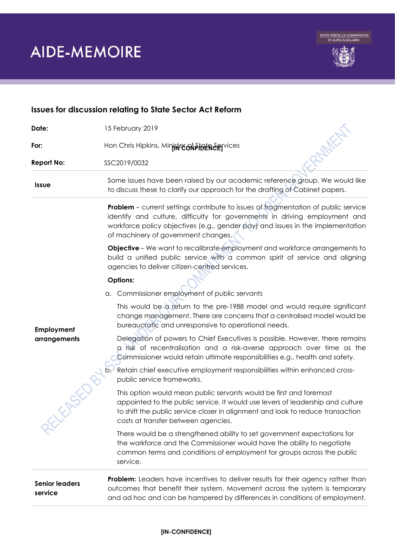

| <b>Issues for discussion relating to State Sector Act Reform</b> |                                                                                                                                                                                                                                                                                            |
|------------------------------------------------------------------|--------------------------------------------------------------------------------------------------------------------------------------------------------------------------------------------------------------------------------------------------------------------------------------------|
| Date:                                                            | 15 February 2019                                                                                                                                                                                                                                                                           |
| For:                                                             | Hon Chris Hipkins, Mininter of Pinter egyvices                                                                                                                                                                                                                                             |
| <b>Report No:</b>                                                | SSC2019/0032                                                                                                                                                                                                                                                                               |
| <b>Issue</b>                                                     | Some issues have been raised by our academic reference group. We would like<br>to discuss these to clarify our approach for the drafting of Cabinet papers.                                                                                                                                |
|                                                                  | Problem - current settings contribute to issues of fragmentation of public service<br>identify and culture, difficulty for governments in driving employment and<br>workforce policy objectives (e.g., gender pay) and issues in the implementation<br>of machinery of government changes. |
|                                                                  | <b>Objective</b> – We want to recalibrate employment and workforce arrangements to<br>build a unified public service with a common spirit of service and aligning<br>agencies to deliver citizen-centred services.                                                                         |
|                                                                  | <b>Options:</b>                                                                                                                                                                                                                                                                            |
| Employment<br>arrangements<br>EXPST                              | a. Commissioner employment of public servants                                                                                                                                                                                                                                              |
|                                                                  | This would be a return to the pre-1988 model and would require significant<br>change management. There are concerns that a centralised model would be<br>bureaucratic and unresponsive to operational needs.                                                                               |
|                                                                  | Delegation of powers to Chief Executives is possible. However, there remains<br>a risk of recentralisation and a risk-averse approach over time as the<br>Commissioner would retain ultimate responsibilities e.g., health and safety.                                                     |
|                                                                  | Retain chief executive employment responsibilities within enhanced cross-<br>public service frameworks.                                                                                                                                                                                    |
|                                                                  | This option would mean public servants would be first and foremost<br>appointed to the public service. It would use levers of leadership and culture<br>to shift the public service closer in alignment and look to reduce transaction<br>costs at transfer between agencies.              |
|                                                                  | There would be a strengthened ability to set government expectations for<br>the workforce and the Commissioner would have the ability to negotiate<br>common terms and conditions of employment for groups across the public<br>service.                                                   |
| <b>Senior leaders</b><br>service                                 | <b>Problem:</b> Leaders have incentives to deliver results for their agency rather than<br>outcomes that benefit their system. Movement across the system is temporary<br>and ad hoc and can be hampered by differences in conditions of employment.                                       |